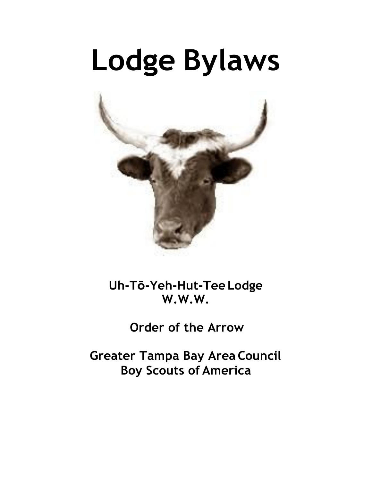# **Lodge Bylaws**



**Uh-Tō-Yeh-Hut-Tee Lodge W.W.W.**

**Order of the Arrow** 

**Greater Tampa Bay Area Council Boy Scouts of America**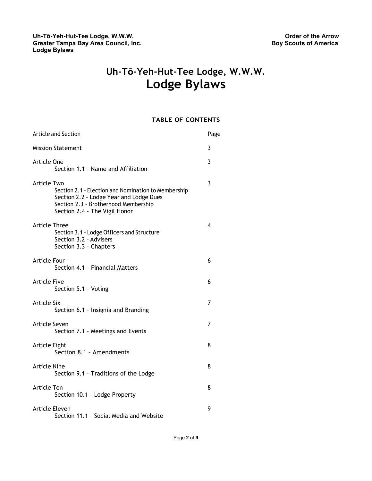# **Uh-Tō-Yeh-Hut-Tee Lodge, W.W.W. Lodge Bylaws**

## **TABLE OF CONTENTS**

| <b>Article and Section</b>                                                                                                                                                                    | Page |
|-----------------------------------------------------------------------------------------------------------------------------------------------------------------------------------------------|------|
| <b>Mission Statement</b>                                                                                                                                                                      | 3    |
| Article One<br>Section 1.1 - Name and Affiliation                                                                                                                                             | 3    |
| <b>Article Two</b><br>Section 2.1 - Election and Nomination to Membership<br>Section 2.2 - Lodge Year and Lodge Dues<br>Section 2.3 - Brotherhood Membership<br>Section 2.4 - The Vigil Honor | 3    |
| <b>Article Three</b><br>Section 3.1 - Lodge Officers and Structure<br>Section 3.2 - Advisers<br>Section 3.3 - Chapters                                                                        | 4    |
| <b>Article Four</b><br>Section 4.1 - Financial Matters                                                                                                                                        | 6    |
| Article Five<br>Section 5.1 - Voting                                                                                                                                                          | 6    |
| <b>Article Six</b><br>Section 6.1 - Insignia and Branding                                                                                                                                     | 7    |
| Article Seven<br>Section 7.1 - Meetings and Events                                                                                                                                            | 7    |
| Article Eight<br>Section 8.1 - Amendments                                                                                                                                                     | 8    |
| Article Nine<br>Section 9.1 - Traditions of the Lodge                                                                                                                                         | 8    |
| Article Ten<br>Section 10.1 - Lodge Property                                                                                                                                                  | 8    |
| Article Eleven<br>Section 11.1 - Social Media and Website                                                                                                                                     | 9    |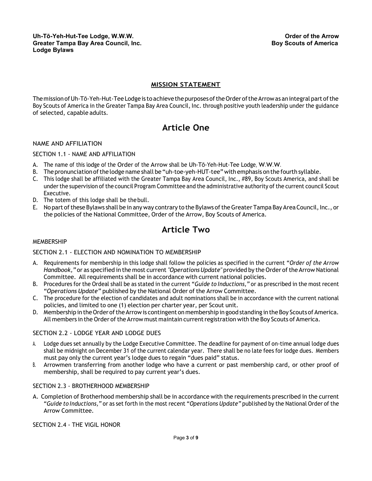## **MISSION STATEMENT**

<span id="page-2-1"></span><span id="page-2-0"></span>The mission of Uh-Tō-Yeh-Hut-Tee Lodge is to achieve the purposes of the Order of the Arrow as an integral part of the Boy Scouts of America in the Greater Tampa Bay Area Council, Inc. through positive youth leadership under the guidance of selected, capable adults.

## **Article One**

#### NAME AND AFFILIATION

#### SECTION 1.1 - NAME AND AFFILIATION

- A. The name of this lodge of the Order of the Arrow shall be Uh-Tō-Yeh-Hut-Tee Lodge, W.W.W.
- B. Thepronunciationofthelodge name shall be"uh-toe-yeh-HUT-tee" with emphasis onthe fourth syllable.
- C. This lodge shall be affiliated with the Greater Tampa Bay Area Council, Inc., #89, Boy Scouts America, and shall be under the supervision of the council Program Committee and the administrative authority of the current council Scout Executive.
- D. The totem of this lodge shall be the bull.
- E. No part of these Bylaws shall be in any way contrary to the Bylaws of the Greater Tampa Bay Area Council, Inc., or the policies of the National Committee, Order of the Arrow, Boy Scouts of America.

## **Article Two**

#### <span id="page-2-2"></span>MEMBERSHIP

#### SECTION 2.1 - ELECTION AND NOMINATION TO MEMBERSHIP

- A. Requirements for membership in this lodge shall follow the policies as specified in the current "*Order of the Arrow*  Handbook," or as specified in the most current *"Operations Update"* provided by the Order of the Arrow National Committee. All requirements shall be in accordance with current national policies.
- B. Procedures for the Ordeal shall be as stated in the current "*Guide to Inductions,"* or as prescribed in the most recent "*Operations Update"* published by the National Order of the Arrow Committee.
- C. The procedure for the election of candidates and adult nominations shall be in accordance with the current national policies, and limited to one (1) election per charter year, per Scout unit.
- D. Membership in the Order of the Arrow is contingent on membership in good standing in the Boy Scouts of America. All members in the Order of the Arrow must maintain current registration with the Boy Scouts of America.

#### SECTION 2.2 - LODGE YEAR AND LODGE DUES

- A. Lodge dues set annually by the Lodge Executive Committee. The deadline for payment of on-time annual lodge dues shall be midnight on December 31 of the current calendar year. There shall be no late fees for lodge dues. Members must pay only the current year's lodge dues to regain "dues paid" status.
- B. Arrowmen transferring from another lodge who have a current or past membership card, or other proof of membership, shall be required to pay current year's dues.

#### SECTION 2.3 - BROTHERHOOD MEMBERSHIP

A. Completion of Brotherhood membership shall be in accordance with the requirements prescribed in the current "*Guide to Inductions,"* or as set forth in the most recent "*Operations Update"* published by the National Order of the Arrow Committee.

SECTION 2.4 - THE VIGIL HONOR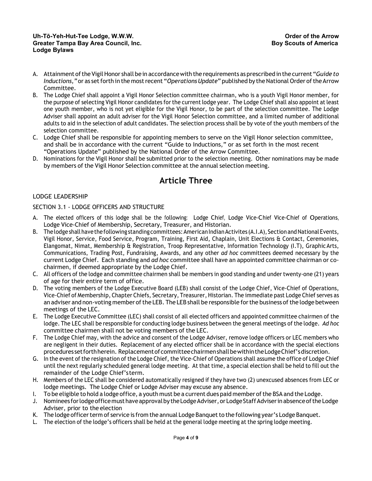- A. Attainment oftheVigilHonor shall bein accordancewith the requirements asprescribed inthecurrent "*Guide to Inductions,"* or as set forth in the most recent "*Operations Update"* published by the National Order of the Arrow Committee.
- B. The Lodge Chief shall appoint a Vigil Honor Selection committee chairman, who is a youth Vigil Honor member, for the purpose of selecting Vigil Honor candidates forthe current lodge year. The Lodge Chief shall also appoint at least one youth member, who is not yet eligible for the Vigil Honor, to be part of the selection committee. The Lodge Adviser shall appoint an adult adviser for the Vigil Honor Selection committee, and a limited number of additional adults to aid in the selection of adult candidates. The selection process shall be by vote of the youth members of the selection committee.
- C. Lodge Chief shall be responsible for appointing members to serve on the Vigil Honor selection committee, and shall be in accordance with the current "Guide to Inductions," or as set forth in the most recent "Operations Update" published by the National Order of the Arrow Committee.
- D. Nominations for the Vigil Honor shall be submitted prior to the selection meeting. Other nominations may be made by members of the Vigil Honor Selection committee at the annual selection meeting.

## **Article Three**

## <span id="page-3-0"></span>LODGE LEADERSHIP

## SECTION 3.1 - LODGE OFFICERS AND STRUCTURE

- A. The elected officers of this lodge shall be the following: Lodge Chief, Lodge Vice-Chief Vice-Chief of Operations, Lodge Vice-Chief of Membership, Secretary, Treasurer, and Historian.
- B. The lodge shall have the following standing committees: American Indian Activites (A.I.A), Section and National Events, Vigil Honor, Service, Food Service, Program, Training, First Aid, Chaplain, Unit Elections & Contact, Ceremonies, Elangomat, Nimat, Membership & Registration, Troop Representative, Information Technology (I.T), Graphic Arts, Communications, Trading Post, Fundraising, Awards, and any other *ad hoc* committees deemed necessary by the current Lodge Chief. Each standing and *ad hoc* committee shall have an appointed committee chairman or cochairmen, if deemed appropriate by the Lodge Chief.
- C. All officers of the lodge and committee chairmen shall be members in good standing and under twenty-one (21) years of age for their entire term of office.
- D. The voting members of the Lodge Executive Board (LEB) shall consist of the Lodge Chief, Vice-Chief of Operations, Vice-Chief of Membership, Chapter Chiefs, Secretary, Treasurer, Historian. The immediate past Lodge Chief serves as an adviser and non-voting member of the LEB. The LEB shall be responsible for the business of the lodge between meetings of the LEC.
- E. The Lodge Executive Committee (LEC) shall consist of all elected officers and appointed committee chairmen of the lodge. The LEC shall be responsible for conducting lodge business between the general meetings of the lodge. *Ad hoc*  committee chairmen shall not be voting members of the LEC.
- F. The Lodge Chief may, with the advice and consent of the Lodge Adviser, remove lodge officers or LEC members who are negligent in their duties. Replacement of any elected officer shall be in accordance with the special elections procedures set forth herein. Replacement of committee chairmen shall be within the Lodge Chief's discretion.
- G. In the event of the resignation of the Lodge Chief, the Vice-Chief of Operations shall assume the office of Lodge Chief until the next regularly scheduled general lodge meeting. At that time, a special election shall be held to fill out the remainder of the Lodge Chief'sterm.
- H. Members of the LEC shall be considered automatically resigned if they have two (2) unexcused absences from LEC or lodge meetings. The Lodge Chief or Lodge Adviser may excuse any absence.
- I. To be eligible to hold a lodge office, a youth must be a current dues paid member ofthe BSA and the Lodge.
- J. Nominees for lodge office must have approval by the Lodge Adviser, or Lodge Staff Adviser in absence of the Lodge Adviser, prior to the election
- K. The lodge officer term of service is from the annual Lodge Banquet to the following year's Lodge Banquet.
- L. The election of the lodge's officers shall be held at the general lodge meeting at the spring lodge meeting.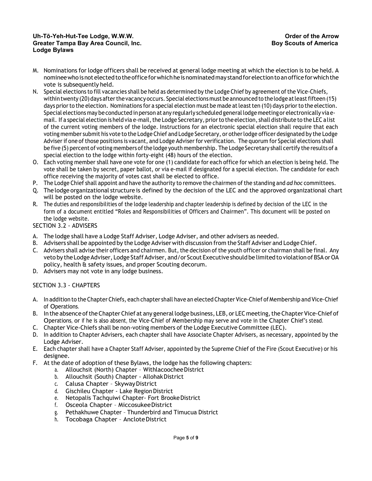#### **Uh-Tō-Yeh-Hut-Tee Lodge, W.W.W. Greater Tampa Bay Area Council, Inc. Lodge Bylaws**

- M. Nominations for lodge officers shall be received at general lodge meeting at which the election is to be held. A nomineewhoisnotelectedtotheofficeforwhichheisnominatedmay standforelectiontoanofficeforwhichthe vote is subsequently held.
- N. Special elections to fill vacancies shall be held as determined by the Lodge Chief by agreement of the Vice-Chiefs, within twenty (20) days after the vacancy occurs. Special elections must be announced to the lodge at least fifteen (15) days prior to the election. Nominations for a special election must be made at least ten (10) days prior to the election. Special elections may be conducted inperson at any regularly scheduled generallodge meetingor electronically via email. If a special election is held via e-mail, the Lodge Secretary, prior to the election, shall distribute to the LEC a list of the current voting members of the lodge. Instructions for an electronic special election shall require that each voting member submit his vote to the Lodge Chief and Lodge Secretary, or otherlodge officer designated by the Lodge Adviser if one of those positions is vacant, and Lodge Adviser for verification. The quorum for Special elections shall be five (5) percent of voting members of the lodge youth membership. The Lodge Secretary shall certify the results of a special election to the lodge within forty-eight (48) hours of the election.
- O. Each voting member shall have one vote for one (1) candidate for each office for which an election is being held. The vote shall be taken by secret, paper ballot, or via e-mail if designated for a special election. The candidate for each office receiving the majority of votes cast shall be elected to office.
- P. The Lodge Chief shall appoint and have the authority to remove the chairmen of the standing and *ad hoc* committees.
- Q. Thelodge organizational structure is defined by the decision of the LEC and the approved organizational chart will be posted on the lodge website.
- R. The duties and responsibilities of the lodge leadership and chapter leadership is defined by decision of the LEC in the form of a document entitled "Roles and Responsibilities of Officers and Chairmen". This document will be posted on the lodge website.

## SECTION 3.2 - ADVISERS

- A. The lodge shall have a Lodge Staff Adviser, Lodge Adviser, and other advisers as needed.
- B. Advisers shall be appointed by the Lodge Adviser with discussion from the Staff Adviser and Lodge Chief.
- C. Advisers shall advise their officers and chairmen. But, the decision of the youth officer or chairman shall be final. Any veto by the Lodge Adviser, Lodge Staff Adviser, and/or Scout Executive should be limited to violation of BSA or OA policy, health & safety issues, and proper Scouting decorum.
- D. Advisers may not vote in any lodge business.

## SECTION 3.3 - CHAPTERS

- A. In addition to the Chapter Chiefs, each chapter shall have an elected Chapter Vice-Chief of Membership and Vice-Chief of Operations.
- B. In the absence of the Chapter Chief at any general lodge business, LEB, or LEC meeting, the Chapter Vice-Chief of Operations, or if he is also absent, the Vice-Chief of Membership may serve and vote in the Chapter Chief's stead.
- C. Chapter Vice-Chiefs shall be non-voting members of the Lodge Executive Committee (LEC).
- D. In addition to Chapter Advisers, each chapter shall have Associate Chapter Advisers, as necessary, appointed by the Lodge Adviser.
- E. Each chapter shall have a Chapter Staff Adviser, appointed by the Supreme Chief of the Fire (Scout Executive) or his designee.
- F. At the date of adoption of these Bylaws, the lodge has the following chapters:
	- a. Allouchsit (North) Chapter Withlacoochee District
	- b. Allouchsit (South) Chapter AllohakDistrict
	- c. Calusa Chapter SkywayDistrict
	- d. Gischileu Chapter Lake RegionDistrict
	- e. Netopalis Tachquiwi Chapter- Fort BrookeDistrict
	- f. Osceola Chapter MiccosukeeDistrict
	- g. Pethakhuwe Chapter Thunderbird and Timucua District
	- h. Tocobaga Chapter Anclote District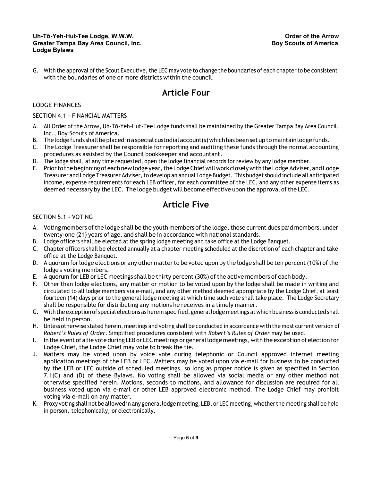#### **Uh-Tō-Yeh-Hut-Tee Lodge, W.W.W. Greater Tampa Bay Area Council, Inc. Lodge Bylaws**

G. With the approval of the Scout Executive, the LEC may vote to change the boundaries of each chapter to be consistent with the boundaries of one or more districts within the council.

## **Article Four**

## <span id="page-5-0"></span>LODGE FINANCES

## SECTION 4.1 - FINANCIAL MATTERS

- A. All Order of the Arrow, Uh-Tō-Yeh-Hut-Tee Lodge funds shall be maintained by the Greater Tampa Bay Area Council, Inc., Boy Scouts of America.
- B. The lodge funds shall be placed in a special custodial account (s) which has been set up to maintain lodge funds.
- C. The Lodge Treasurer shall be responsible for reporting and auditing these funds through the normal accounting procedures as assisted by the Council bookkeeper and accountant.
- D. The lodge shall, at any time requested, open the lodge financial records for review by any lodge member.
- E. Priortothebeginning of eachnewlodgeyear,theLodgeChief willwork closelywiththeLodge Adviser,and Lodge Treasurer and Lodge Treasurer Adviser, to develop an annual Lodge Budget. This budget should include all anticipated income, expense requirements for each LEB officer, for each committee of the LEC, and any other expense items as deemed necessary by the LEC. The lodge budget will become effective upon the approval of the LEC.

## **Article Five**

## <span id="page-5-1"></span>SECTION 5.1 - VOTING

- A. Voting members of the lodge shall be the youth members of the lodge, those current dues paid members, under twenty-one (21) years of age, and shall be in accordance with national standards.
- B. Lodge officers shall be elected at the spring lodge meeting and take office at the Lodge Banquet.
- C. Chapter officers shall be elected annually at a chapter meeting scheduled at the discretion of each chapter and take office at the Lodge Banquet.
- D. A quorum for lodge elections or any other matter to be voted upon by the lodge shall be ten percent (10%) of the lodge's voting members.
- E. A quorum for LEB or LEC meetings shall be thirty percent (30%) of the active members of each body.
- F. Other than lodge elections, any matter or motion to be voted upon by the lodge shall be made in writing and circulated to all lodge members via e-mail, and any other method deemed appropriate by the Lodge Chief, at least fourteen (14) days prior to the general lodge meeting at which time such vote shall take place. The Lodge Secretary shall be responsible for distributing any motions he receives in a timely manner.
- G. With the exception of special elections as herein specified, general lodge meetings at whichbusiness is conducted shall be held in person.
- H. Unless otherwise stated herein, meetings and voting shall be conducted in accordance with the most current version of *Robert's Rules of Order*. Simplified procedures consistent with *Robert's Rules of Order* may be used.
- I. In the event of a tie vote during LEB or LEC meetings or general lodge meetings, with the exception of election for Lodge Chief, the Lodge Chief may vote to break the tie.
- J. Matters may be voted upon by voice vote during telephonic or Council approved internet meeting application meetings of the LEB or LEC. Matters may be voted upon via e-mail for business to be conducted by the LEB or LEC outside of scheduled meetings, so long as proper notice is given as specified in Section 7.1(C) and (D) of these Bylaws. No voting shall be allowed via social media or any other method not otherwise specified herein. Motions, seconds to motions, and allowance for discussion are required for all business voted upon via e-mail or other LEB approved electronic method. The Lodge Chief may prohibit voting via e-mail on any matter.
- K. Proxy voting shall not be allowed in any general lodge meeting, LEB, or LEC meeting, whetherthe meeting shall be held in person, telephonically, or electronically.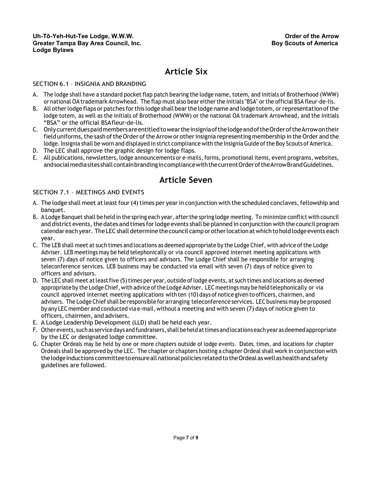## **Article Six**

## SECTION 6.1 – INSIGNIA AND BRANDING

- <span id="page-6-0"></span>A. The lodge shall have a standard pocket flap patch bearing the lodge name, totem, and initials of Brotherhood (WWW) or national OA trademark Arrowhead. The flap must also bear either the initials "BSA" or the official BSA fleur-de-lis.
- B. All other lodge flaps or patches for this lodge shall bear the lodge name and lodge totem, or representation of the lodge totem, as well as the initials of Brotherhood (WWW) or the national OA trademark Arrowhead, and the initials "BSA" or the official BSAfleur-de-lis.
- C. OnlycurrentduespaidmembersareentitledtoweartheinsigniaofthelodgeandoftheOrderoftheArrowontheir field uniforms, the sash of the Order of the Arrow or other insignia representing membership in the Order and the lodge. Insignia shall be worn and displayed in strict compliance with the Insignia Guide of the Boy Scouts of America.
- D. The LEC shall approve the graphic design for lodge flaps.
- E. All publications, newsletters, lodge announcements or e-mails, forms, promotional items, event programs, websites, andsocialmediasitesshallcontainbrandingincompliancewiththecurrentOrderoftheArrowBrandGuidelines.

## **Article Seven**

## <span id="page-6-1"></span>SECTION 7.1 – MEETINGS AND EVENTS

- A. The lodge shall meet at least four (4) times per year in conjunction with the scheduled conclaves, fellowship and banquet.
- B. A Lodge Banquet shall be held in the spring each year, afterthe spring lodge meeting. To minimize conflict with council and district events, the dates and times for lodge events shall be planned in conjunction with the council program calendareach year. The LEC shall determine the council camp or other location at which to hold lodge events each year.
- C. The LEB shall meet at such times and locations as deemed appropriate by the Lodge Chief, with advice ofthe Lodge Adviser. LEB meetings may be held telephonically or via council approved internet meeting applications with seven (7) days of notice given to officers and advisors. The Lodge Chief shall be responsible for arranging teleconference services. LEB business may be conducted via email with seven (7) days of notice given to officers and advisors.
- D. The LEC shall meet at least five (5) times per year, outside of lodge events, at such times and locations as deemed appropriate by the Lodge Chief, with advice of the Lodge Adviser. LEC meetings may be held telephonically or via council approved internet meeting applications with ten (10) days of notice given to officers, chairmen, and advisers. The Lodge Chief shall be responsible for arranging teleconference services. LEC business may be proposed by any LEC member and conducted via e-mail, without a meeting and with seven (7) days of notice given to officers, chairmen, and advisers.
- E. A Lodge Leadership Development (LLD) shall be held each year.
- F. Otherevents, such as servicedaysand fundraisers, shall beheldattimesandlocationseachyearasdeemed appropriate by the LEC or designated lodge committee.
- G. Chapter Ordeals may be held by one or more chapters outside of lodge events. Dates, times, and locations for chapter Ordeals shall be approved by the LEC. The chapter or chapters hosting a chapter Ordeal shall work in conjunction with the lodge Inductions committee to ensure all national policies related to the Ordeal as well as health and safety guidelines are followed.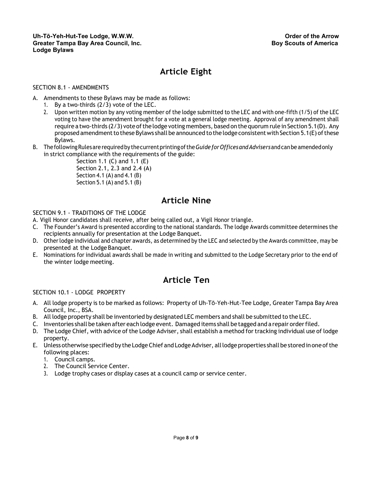# **Article Eight**

## <span id="page-7-0"></span>SECTION 8.1 - AMENDMENTS

A. Amendments to these Bylaws may be made as follows:

- 1. By a two-thirds (2/3) vote of the LEC.
- 2. Upon written motion by any voting member of the lodge submitted to the LEC and with one-fifth (1/5) of the LEC voting to have the amendment brought for a vote at a general lodge meeting. Approval of any amendment shall require a two-thirds  $(2/3)$  vote of the lodge voting members, based on the quorum rule in Section 5.1(D). Any proposed amendment to these Bylaws shall be announced to the lodge consistent with Section 5.1(E) of these Bylaws.
- B. ThefollowingRulesare requiredby thecurrentprintingofthe*GuideforOfficesandAdvisers*andcanbe amendedonly in strict compliance with the requirements of the guide:

Section 1.1 (C) and 1.1 (E) Section 2.1, 2.3 and 2.4 (A) Section 4.1 (A) and 4.1 (B) Section 5.1 (A) and 5.1 (B)

## **Article Nine**

#### SECTION 9.1 - TRADITIONS OF THE LODGE

- <span id="page-7-1"></span>A. Vigil Honor candidates shall receive, after being called out, a Vigil Honor triangle.
- C. The Founder's Award is presented according to the national standards. The lodge Awards committee determines the recipients annually for presentation at the Lodge Banquet.
- D. Otherlodge individual and chapter awards, as determined by the LEC and selected by the Awards committee, may be presented at the Lodge Banquet.
- E. Nominations for individual awards shall be made in writing and submitted to the Lodge Secretary prior to the end of the winter lodge meeting.

## **Article Ten**

## SECTION 10.1 - LODGE PROPERTY

- <span id="page-7-2"></span>A. All lodge property is to be marked as follows: Property of Uh-Tō-Yeh-Hut-Tee Lodge, Greater Tampa Bay Area Council, Inc., BSA.
- B. All lodge property shall be inventoried by designated LEC members and shall be submitted to the LEC.
- C. Inventories shall be taken after each lodge event. Damaged items shall betagged and a repair orderfiled.
- D. The Lodge Chief, with advice of the Lodge Adviser, shall establish a method fortracking individual use of lodge property.
- E. Unless otherwise specified by the Lodge Chief and Lodge Adviser, all lodge properties shall be stored in one of the following places:
	- 1. Council camps.
	- 2. The Council Service Center.
	- 3. Lodge trophy cases or display cases at a council camp or service center.